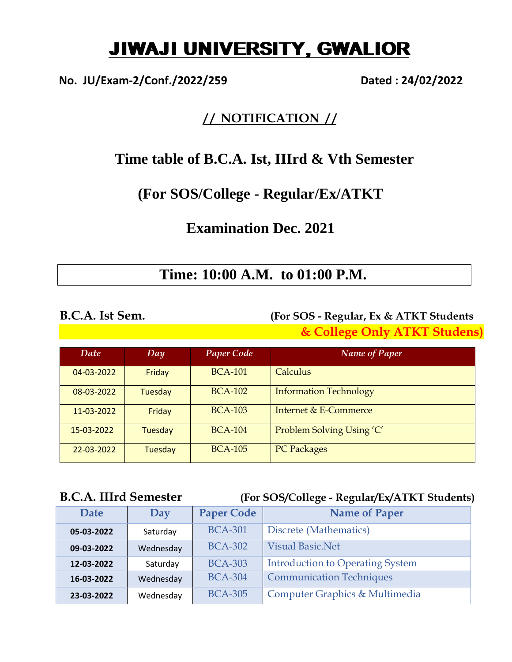# JIWAJI UNIVERSITY, GWALIOR

**No. JU/Exam-2/Conf./2022/259 Dated : 24/02/2022**

### **/ / NOTIFICATION / /**

## **Time table of B.C.A. Ist, IIIrd & Vth Semester**

## **(For SOS/College - Regular/Ex/ATKT**

## **Examination Dec. 2021**

## **Time: 10:00 A.M. to 01:00 P.M.**

### **B.C.A. Ist Sem. (For SOS - Regular, Ex & ATKT Students & College Only ATKT Studens)**

| Date       | Day            | <b>Paper Code</b> | <b>Name of Paper</b>          |
|------------|----------------|-------------------|-------------------------------|
| 04-03-2022 | Friday         | <b>BCA-101</b>    | Calculus                      |
| 08-03-2022 | <b>Tuesday</b> | <b>BCA-102</b>    | <b>Information Technology</b> |
| 11-03-2022 | Friday         | <b>BCA-103</b>    | Internet & E-Commerce         |
| 15-03-2022 | Tuesday        | <b>BCA-104</b>    | Problem Solving Using 'C'     |
| 22-03-2022 | Tuesday        | <b>BCA-105</b>    | <b>PC Packages</b>            |

### **B.C.A. IIIrd Semester (For SOS/College - Regular/Ex/ATKT Students)**

| <b>Date</b> | Day       | <b>Paper Code</b> | <b>Name of Paper</b>                    |
|-------------|-----------|-------------------|-----------------------------------------|
| 05-03-2022  | Saturday  | <b>BCA-301</b>    | Discrete (Mathematics)                  |
| 09-03-2022  | Wednesday | <b>BCA-302</b>    | <b>Visual Basic.Net</b>                 |
| 12-03-2022  | Saturday  | <b>BCA-303</b>    | <b>Introduction to Operating System</b> |
| 16-03-2022  | Wednesday | <b>BCA-304</b>    | <b>Communication Techniques</b>         |
| 23-03-2022  | Wednesday | <b>BCA-305</b>    | Computer Graphics & Multimedia          |